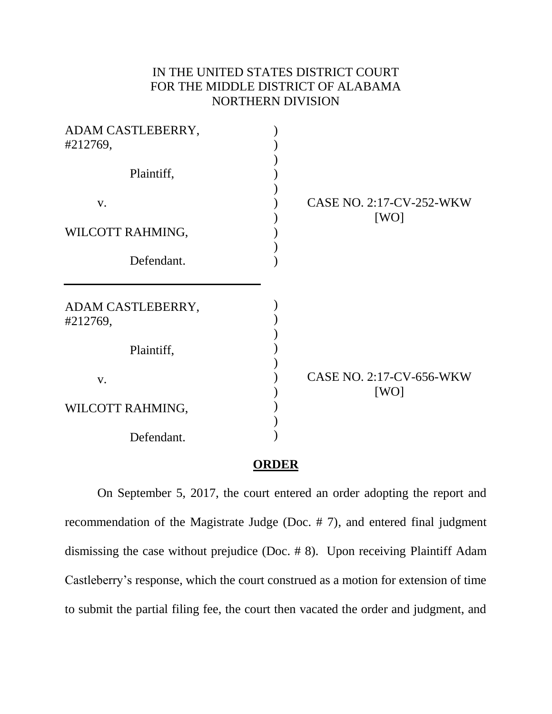## IN THE UNITED STATES DISTRICT COURT FOR THE MIDDLE DISTRICT OF ALABAMA NORTHERN DIVISION

| ADAM CASTLEBERRY,<br>#212769, |                                         |
|-------------------------------|-----------------------------------------|
| Plaintiff,                    |                                         |
| V.                            | <b>CASE NO. 2:17-CV-252-WKW</b><br>[WO] |
| WILCOTT RAHMING,              |                                         |
| Defendant.                    |                                         |
| ADAM CASTLEBERRY,<br>#212769, |                                         |
| Plaintiff,                    |                                         |
| V.                            | CASE NO. 2:17-CV-656-WKW<br>[WO]        |
| WILCOTT RAHMING,              |                                         |
| Defendant.                    |                                         |

## **ORDER**

On September 5, 2017, the court entered an order adopting the report and recommendation of the Magistrate Judge (Doc. # 7), and entered final judgment dismissing the case without prejudice (Doc. # 8). Upon receiving Plaintiff Adam Castleberry's response, which the court construed as a motion for extension of time to submit the partial filing fee, the court then vacated the order and judgment, and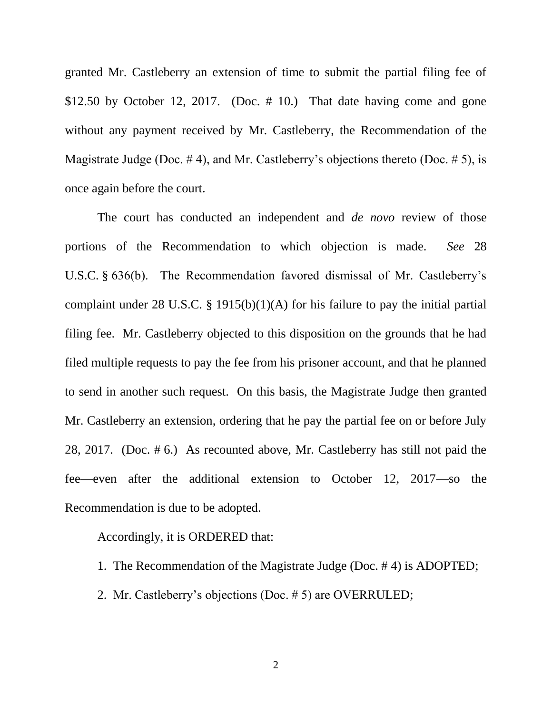granted Mr. Castleberry an extension of time to submit the partial filing fee of \$12.50 by October 12, 2017. (Doc. # 10.) That date having come and gone without any payment received by Mr. Castleberry, the Recommendation of the Magistrate Judge (Doc.  $\#$  4), and Mr. Castleberry's objections thereto (Doc.  $\#$  5), is once again before the court.

The court has conducted an independent and *de novo* review of those portions of the Recommendation to which objection is made. *See* 28 U.S.C. § 636(b). The Recommendation favored dismissal of Mr. Castleberry's complaint under 28 U.S.C. § 1915(b)(1)(A) for his failure to pay the initial partial filing fee. Mr. Castleberry objected to this disposition on the grounds that he had filed multiple requests to pay the fee from his prisoner account, and that he planned to send in another such request. On this basis, the Magistrate Judge then granted Mr. Castleberry an extension, ordering that he pay the partial fee on or before July 28, 2017. (Doc. # 6.) As recounted above, Mr. Castleberry has still not paid the fee—even after the additional extension to October 12, 2017—so the Recommendation is due to be adopted.

## Accordingly, it is ORDERED that:

- 1. The Recommendation of the Magistrate Judge (Doc. # 4) is ADOPTED;
- 2. Mr. Castleberry's objections (Doc. # 5) are OVERRULED;